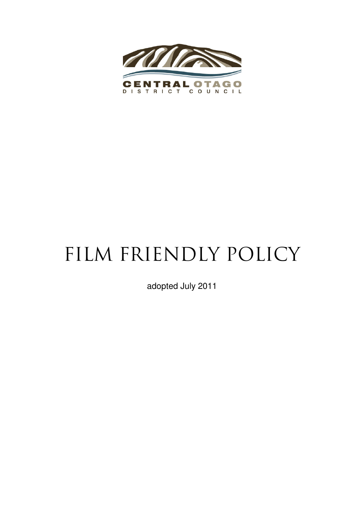

# FILM FRIENDLY POLICY

adopted July 2011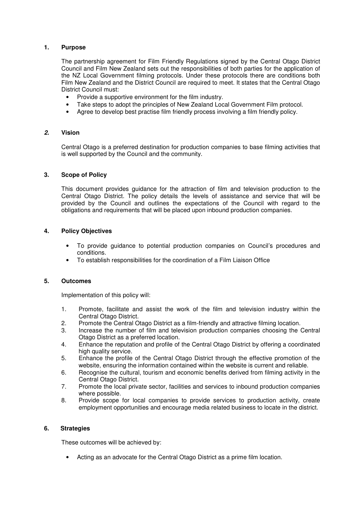# **1. Purpose**

The partnership agreement for Film Friendly Regulations signed by the Central Otago District Council and Film New Zealand sets out the responsibilities of both parties for the application of the NZ Local Government filming protocols. Under these protocols there are conditions both Film New Zealand and the District Council are required to meet. It states that the Central Otago District Council must:

- Provide a supportive environment for the film industry.
- Take steps to adopt the principles of New Zealand Local Government Film protocol.
- Agree to develop best practise film friendly process involving a film friendly policy.

# **2. Vision**

Central Otago is a preferred destination for production companies to base filming activities that is well supported by the Council and the community.

## **3. Scope of Policy**

This document provides guidance for the attraction of film and television production to the Central Otago District. The policy details the levels of assistance and service that will be provided by the Council and outlines the expectations of the Council with regard to the obligations and requirements that will be placed upon inbound production companies.

## **4. Policy Objectives**

- To provide guidance to potential production companies on Council's procedures and conditions.
- To establish responsibilities for the coordination of a Film Liaison Office

#### **5. Outcomes**

Implementation of this policy will:

- 1. Promote, facilitate and assist the work of the film and television industry within the Central Otago District.
- 2. Promote the Central Otago District as a film-friendly and attractive filming location.
- 3. Increase the number of film and television production companies choosing the Central Otago District as a preferred location.
- 4. Enhance the reputation and profile of the Central Otago District by offering a coordinated high quality service.
- 5. Enhance the profile of the Central Otago District through the effective promotion of the website, ensuring the information contained within the website is current and reliable.
- 6. Recognise the cultural, tourism and economic benefits derived from filming activity in the Central Otago District.
- 7. Promote the local private sector, facilities and services to inbound production companies where possible.
- 8. Provide scope for local companies to provide services to production activity, create employment opportunities and encourage media related business to locate in the district.

#### **6. Strategies**

These outcomes will be achieved by:

• Acting as an advocate for the Central Otago District as a prime film location.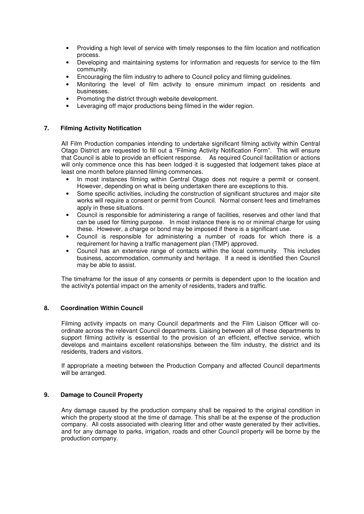- Providing a high level of service with timely responses to the film location and notification process.
- Developing and maintaining systems for information and requests for service to the film community.
- Encouraging the film industry to adhere to Council policy and filming guidelines.
- Monitoring the level of film activity to ensure minimum impact on residents and businesses.
- Promoting the district through website development.
- Leveraging off major productions being filmed in the wider region.

# **7. Filming Activity Notification**

All Film Production companies intending to undertake significant filming activity within Central Otago District are requested to fill out a "Filming Activity Notification Form". This will ensure that Council is able to provide an efficient response. As required Council facilitation or actions will only commence once this has been lodged it is suggested that lodgement takes place at least one month before planned filming commences.

- In most instances filming within Central Otago does not require a permit or consent. However, depending on what is being undertaken there are exceptions to this.
- Some specific activities, including the construction of significant structures and major site works will require a consent or permit from Council. Normal consent fees and timeframes apply in these situations.
- Council is responsible for administering a range of facilities, reserves and other land that can be used for filming purpose. In most instance there is no or minimal charge for using these. However, a charge or bond may be imposed if there is a significant use.
- Council is responsible for administering a number of roads for which there is a requirement for having a traffic management plan (TMP) approved.
- Council has an extensive range of contacts within the local community. This includes business, accommodation, community and heritage. If a need is identified then Council may be able to assist.

The timeframe for the issue of any consents or permits is dependent upon to the location and the activity's potential impact on the amenity of residents, traders and traffic.

#### **8. Coordination Within Council**

Filming activity impacts on many Council departments and the Film Liaison Officer will coordinate across the relevant Council departments. Liaising between all of these departments to support filming activity is essential to the provision of an efficient, effective service, which develops and maintains excellent relationships between the film industry, the district and its residents, traders and visitors.

If appropriate a meeting between the Production Company and affected Council departments will be arranged.

# **9. Damage to Council Property**

Any damage caused by the production company shall be repaired to the original condition in which the property stood at the time of damage. This shall be at the expense of the production company. All costs associated with clearing litter and other waste generated by their activities, and for any damage to parks, irrigation, roads and other Council property will be borne by the production company.